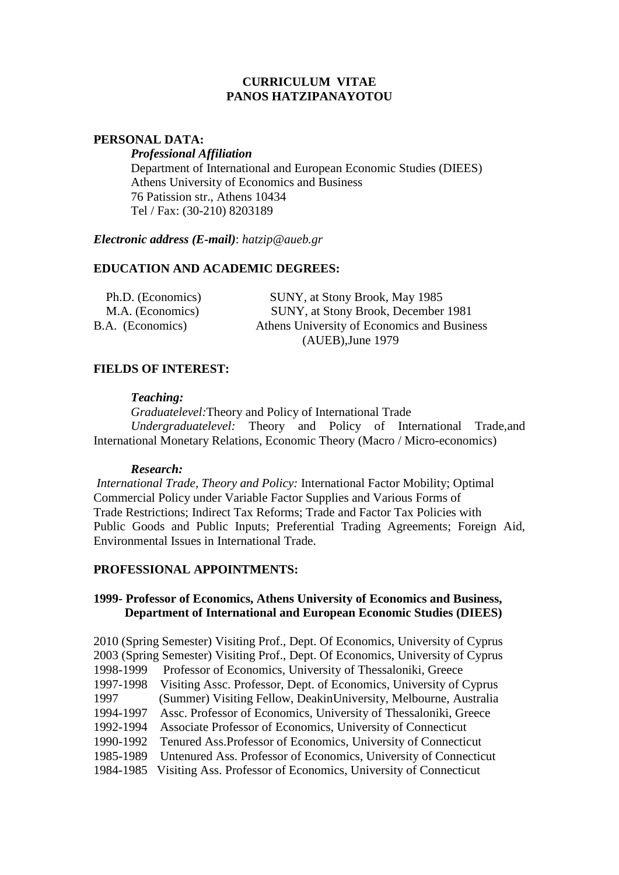#### **CURRICULUM VITAE PANOS HATZIPANAYOTOU**

#### **PERSONAL DATA:**

*Professional Affiliation*

Department of International and European Economic Studies (DIEES) Athens University of Economics and Business 76 Patission str., Athens 10434 Tel / Fax: (30-210) 8203189

*Electronic address (E-mail)*: *hatzip@aueb.gr*

# **EDUCATION AND ACADEMIC DEGREES:**

| Ph.D. (Economics) | SUNY, at Stony Brook, May 1985              |
|-------------------|---------------------------------------------|
| M.A. (Economics)  | SUNY, at Stony Brook, December 1981         |
| B.A. (Economics)  | Athens University of Economics and Business |
|                   | $(AUEB)$ , June 1979                        |

# **FIELDS OF INTEREST:**

#### *Teaching:*

*Graduatelevel:*Theory and Policy of International Trade *Undergraduatelevel:* Theory and Policy of International Trade,and International Monetary Relations, Economic Theory (Macro / Micro-economics)

#### *Research:*

*International Trade, Theory and Policy:* International Factor Mobility; Optimal Commercial Policy under Variable Factor Supplies and Various Forms of Trade Restrictions; Indirect Tax Reforms; Trade and Factor Tax Policies with Public Goods and Public Inputs; Preferential Trading Agreements; Foreign Aid, Environmental Issues in International Trade.

#### **PROFESSIONAL APPOINTMENTS:**

# **1999- Professor of Economics, Athens University of Economics and Business, Department of International and European Economic Studies (DIEES)**

2010 (Spring Semester) Visiting Prof., Dept. Of Economics, University of Cyprus 2003 (Spring Semester) Visiting Prof., Dept. Of Economics, University of Cyprus 1998-1999 Professor of Economics, University of Thessaloniki, Greece 1997-1998 Visiting Assc. Professor, Dept. of Economics, University of Cyprus 1997 (Summer) Visiting Fellow, DeakinUniversity, Melbourne, Australia 1994-1997 Assc. Professor of Economics, University of Thessaloniki, Greece 1992-1994 Associate Professor of Economics, University of Connecticut 1990-1992 Tenured Ass.Professor of Economics, University of Connecticut 1985-1989 Untenured Ass. Professor of Economics, University of Connecticut 1984-1985 Visiting Ass. Professor of Economics, University of Connecticut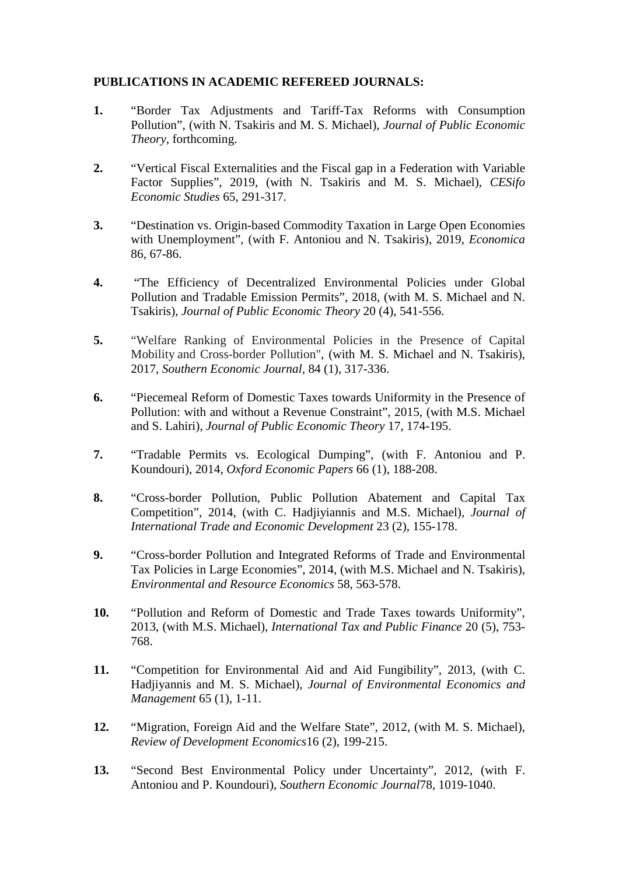# **PUBLICATIONS IN ACADEMIC REFEREED JOURNALS:**

- **1.** "Border Tax Adjustments and Tariff-Tax Reforms with Consumption Pollution", (with N. Tsakiris and M. S. Michael), *Journal of Public Economic Theory*, forthcoming.
- **2.** "Vertical Fiscal Externalities and the Fiscal gap in a Federation with Variable Factor Supplies", 2019, (with N. Tsakiris and M. S. Michael), *CESifo Economic Studies* 65, 291-317.
- **3.** "Destination vs. Origin-based Commodity Taxation in Large Open Economies with Unemployment", (with F. Antoniou and N. Tsakiris), 2019, *Economica* 86, 67-86.
- **4.** "The Efficiency of Decentralized Environmental Policies under Global Pollution and Tradable Emission Permits", 2018, (with M. S. Michael and N. Tsakiris), *Journal of Public Economic Theory* 20 (4), 541-556.
- **5.** "Welfare Ranking of Environmental Policies in the Presence of Capital Mobility and Cross-border Pollution", (with M. S. Michael and N. Tsakiris), 2017, *Southern Economic Journal,* 84 (1), 317-336.
- **6.** "Piecemeal Reform of Domestic Taxes towards Uniformity in the Presence of Pollution: with and without a Revenue Constraint", 2015, (with M.S. Michael and S. Lahiri), *Journal of Public Economic Theory* 17, 174-195.
- **7.** "Tradable Permits vs. Ecological Dumping", (with F. Antoniou and P. Koundouri), 2014, *Oxford Economic Papers* 66 (1), 188-208.
- **8.** "Cross-border Pollution, Public Pollution Abatement and Capital Tax Competition", 2014, (with C. Hadjiyiannis and M.S. Michael), *Journal of International Trade and Economic Development* 23 (2), 155-178.
- **9.** "Cross-border Pollution and Integrated Reforms of Trade and Environmental Tax Policies in Large Economies", 2014, (with M.S. Michael and N. Tsakiris), *Environmental and Resource Economics* 58, 563-578.
- **10.** "Pollution and Reform of Domestic and Trade Taxes towards Uniformity", 2013, (with M.S. Michael), *International Tax and Public Finance* 20 (5), 753- 768.
- **11.** "Competition for Environmental Aid and Aid Fungibility", 2013, (with C. Hadjiyannis and M. S. Michael), *Journal of Environmental Economics and Management* 65 (1), 1-11.
- **12.** "Migration, Foreign Aid and the Welfare State", 2012, (with M. S. Michael), *Review of Development Economics*16 (2), 199-215.
- **13.** "Second Best Environmental Policy under Uncertainty", 2012, (with F. Antoniou and P. Koundouri), *Southern Economic Journal*78, 1019-1040.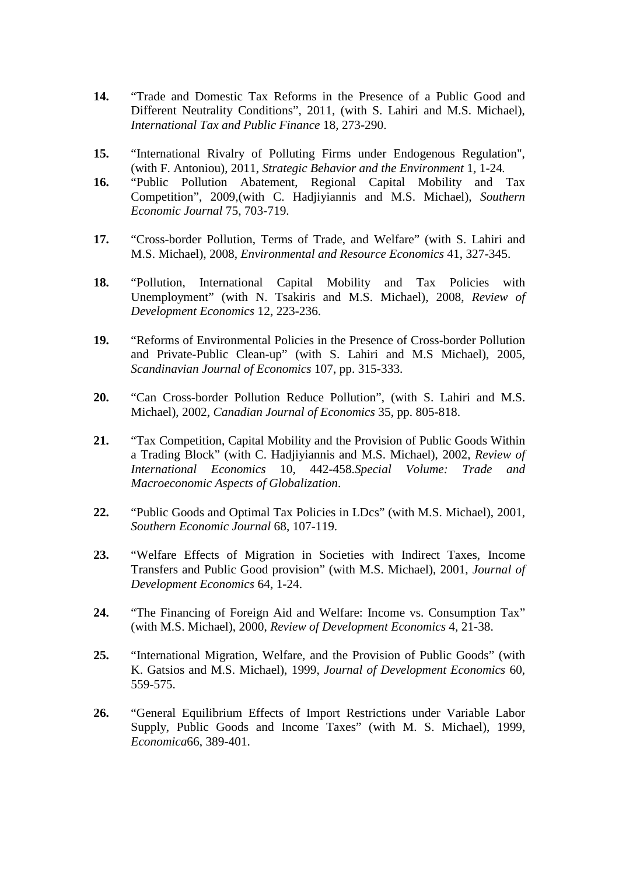- **14.** "Trade and Domestic Tax Reforms in the Presence of a Public Good and Different Neutrality Conditions", 2011, (with S. Lahiri and M.S. Michael), *International Tax and Public Finance* 18*,* 273-290.
- **15.** "International Rivalry of Polluting Firms under Endogenous Regulation", (with F. Antoniou), 2011, *Strategic Behavior and the Environment* 1*,* 1-24*.*
- **16.** "Public Pollution Abatement, Regional Capital Mobility and Tax Competition", 2009,(with C. Hadjiyiannis and M.S. Michael), *Southern Economic Journal* 75, 703-719.
- **17.** "Cross-border Pollution, Terms of Trade, and Welfare" (with S. Lahiri and M.S. Michael), 2008, *Environmental and Resource Economics* 41, 327-345.
- **18.** "Pollution, International Capital Mobility and Tax Policies with Unemployment" (with N. Tsakiris and M.S. Michael), 2008, *Review of Development Economics* 12, 223-236.
- **19.** "Reforms of Environmental Policies in the Presence of Cross-border Pollution and Private-Public Clean-up" (with S. Lahiri and M.S Michael), 2005, *Scandinavian Journal of Economics* 107, pp. 315-333.
- **20.** "Can Cross-border Pollution Reduce Pollution", (with S. Lahiri and M.S. Michael), 2002, *Canadian Journal of Economics* 35, pp. 805-818.
- **21.** "Tax Competition, Capital Mobility and the Provision of Public Goods Within a Trading Block" (with C. Hadjiyiannis and M.S. Michael), 2002, *Review of International Economics* 10*,* 442-458.*Special Volume: Trade and Macroeconomic Aspects of Globalization*.
- **22.** "Public Goods and Optimal Tax Policies in LDcs" (with M.S. Michael), 2001, *Southern Economic Journal* 68, 107-119.
- **23.** "Welfare Effects of Migration in Societies with Indirect Taxes, Income Transfers and Public Good provision" (with M.S. Michael), 2001, *Journal of Development Economics* 64, 1-24.
- **24.** "The Financing of Foreign Aid and Welfare: Income vs. Consumption Tax" (with M.S. Michael), 2000, *Review of Development Economics* 4*,* 21-38.
- **25.** "International Migration, Welfare, and the Provision of Public Goods" (with K. Gatsios and M.S. Michael), 1999, *Journal of Development Economics* 60, 559-575.
- **26.** "General Equilibrium Effects of Import Restrictions under Variable Labor Supply, Public Goods and Income Taxes" (with M. S. Michael), 1999, *Economica*66, 389-401.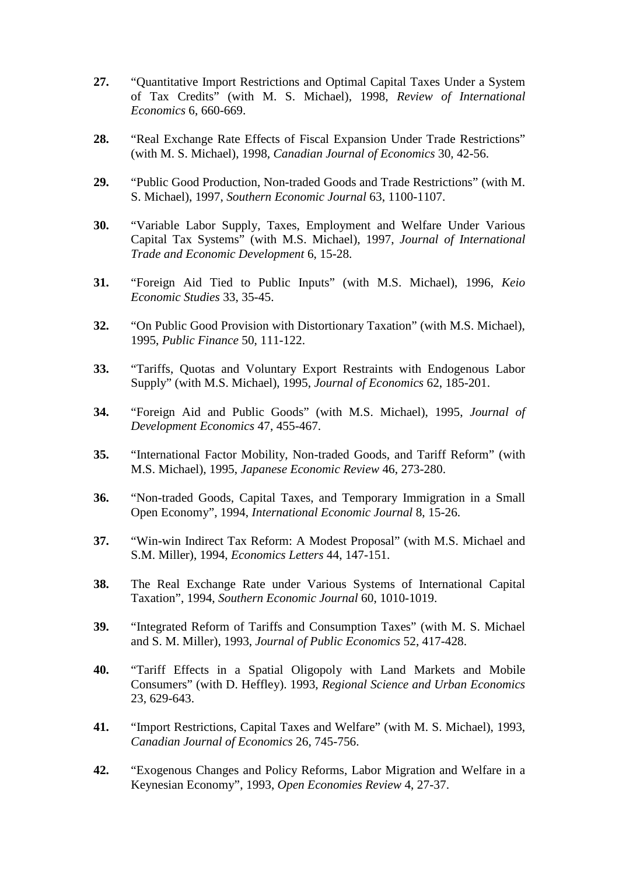- **27.** "Quantitative Import Restrictions and Optimal Capital Taxes Under a System of Tax Credits" (with M. S. Michael), 1998, *Review of International Economics* 6, 660-669.
- **28.** "Real Exchange Rate Effects of Fiscal Expansion Under Trade Restrictions" (with M. S. Michael), 1998, *Canadian Journal of Economics* 30*,* 42-56.
- **29.** "Public Good Production, Non-traded Goods and Trade Restrictions" (with M. S. Michael), 1997, *Southern Economic Journal* 63, 1100-1107.
- **30.** "Variable Labor Supply, Taxes, Employment and Welfare Under Various Capital Tax Systems" (with M.S. Michael), 1997, *Journal of International Trade and Economic Development* 6, 15-28.
- **31.** "Foreign Aid Tied to Public Inputs" (with M.S. Michael), 1996, *Keio Economic Studies* 33, 35-45.
- **32.** "On Public Good Provision with Distortionary Taxation" (with M.S. Michael), 1995, *Public Finance* 50, 111-122.
- **33.** "Tariffs, Quotas and Voluntary Export Restraints with Endogenous Labor Supply" (with M.S. Michael), 1995, *Journal of Economics* 62, 185-201.
- **34.** "Foreign Aid and Public Goods" (with M.S. Michael), 1995, *Journal of Development Economics* 47, 455-467.
- **35.** "International Factor Mobility, Non-traded Goods, and Tariff Reform" (with M.S. Michael), 1995, *Japanese Economic Review* 46, 273-280.
- **36.** "Non-traded Goods, Capital Taxes, and Temporary Immigration in a Small Open Economy", 1994, *International Economic Journal* 8, 15-26.
- **37.** "Win-win Indirect Tax Reform: A Modest Proposal" (with M.S. Michael and S.M. Miller), 1994, *Economics Letters* 44, 147-151.
- **38.** The Real Exchange Rate under Various Systems of International Capital Taxation", 1994, *Southern Economic Journal* 60, 1010-1019.
- **39.** "Integrated Reform of Tariffs and Consumption Taxes" (with M. S. Michael and S. M. Miller), 1993, *Journal of Public Economics* 52, 417-428.
- **40.** "Tariff Effects in a Spatial Oligopoly with Land Markets and Mobile Consumers" (with D. Heffley). 1993, *Regional Science and Urban Economics* 23, 629-643.
- **41.** "Import Restrictions, Capital Taxes and Welfare" (with M. S. Michael), 1993, *Canadian Journal of Economics* 26, 745-756.
- **42.** "Exogenous Changes and Policy Reforms, Labor Migration and Welfare in a Keynesian Economy", 1993, *Open Economies Review* 4, 27-37.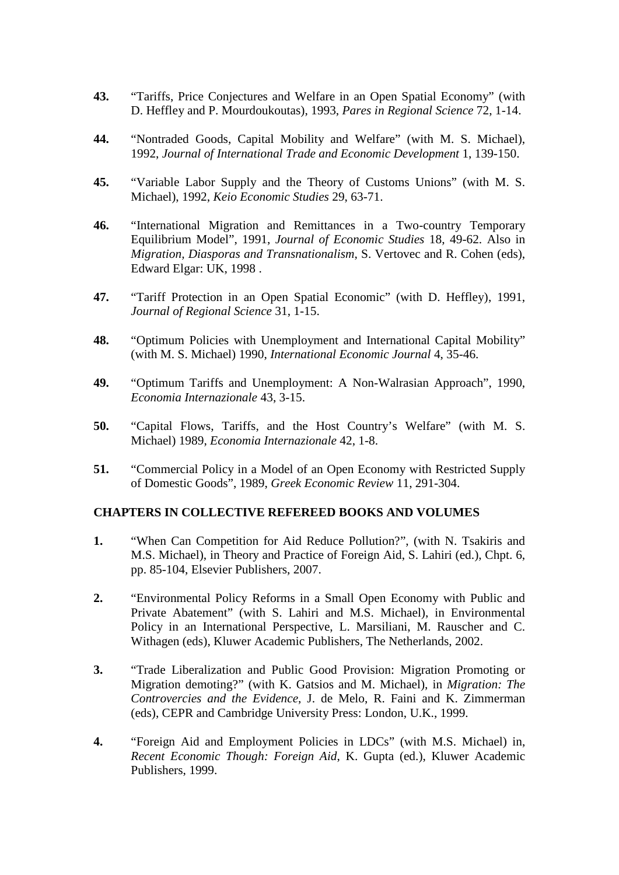- **43.** "Tariffs, Price Conjectures and Welfare in an Open Spatial Economy" (with D. Heffley and P. Mourdoukoutas), 1993, *Pares in Regional Science* 72, 1-14.
- **44.** "Nontraded Goods, Capital Mobility and Welfare" (with M. S. Michael), 1992, *Journal of International Trade and Economic Development* 1, 139-150.
- **45.** "Variable Labor Supply and the Theory of Customs Unions" (with M. S. Michael), 1992, *Keio Economic Studies* 29, 63-71.
- **46.** "International Migration and Remittances in a Two-country Temporary Equilibrium Model", 1991, *Journal of Economic Studies* 18, 49-62. Also in *Migration, Diasporas and Transnationalism*, S. Vertovec and R. Cohen (eds), Edward Elgar: UK, 1998 .
- **47.** "Tariff Protection in an Open Spatial Economic" (with D. Heffley), 1991, *Journal of Regional Science* 31, 1-15.
- **48.** "Optimum Policies with Unemployment and International Capital Mobility" (with M. S. Michael) 1990, *International Economic Journal* 4, 35-46.
- **49.** "Optimum Tariffs and Unemployment: A Non-Walrasian Approach", 1990, *Economia Internazionale* 43, 3-15.
- **50.** "Capital Flows, Tariffs, and the Host Country's Welfare" (with M. S. Michael) 1989, *Economia Internazionale* 42, 1-8.
- **51.** "Commercial Policy in a Model of an Open Economy with Restricted Supply of Domestic Goods", 1989, *Greek Economic Review* 11, 291-304.

#### **CHAPTERS IN COLLECTIVE REFEREED BOOKS AND VOLUMES**

- **1.** "When Can Competition for Aid Reduce Pollution?", (with N. Tsakiris and M.S. Michael), in Theory and Practice of Foreign Aid, S. Lahiri (ed.), Chpt. 6, pp. 85-104, Elsevier Publishers, 2007.
- **2.** "Environmental Policy Reforms in a Small Open Economy with Public and Private Abatement" (with S. Lahiri and M.S. Michael), in Environmental Policy in an International Perspective, L. Marsiliani, M. Rauscher and C. Withagen (eds), Kluwer Academic Publishers, The Netherlands, 2002.
- **3.** "Trade Liberalization and Public Good Provision: Migration Promoting or Migration demoting?" (with K. Gatsios and M. Michael), in *Migration: The Controvercies and the Evidence*, J. de Melo, R. Faini and K. Zimmerman (eds), CEPR and Cambridge University Press: London, U.K., 1999.
- **4.** "Foreign Aid and Employment Policies in LDCs" (with M.S. Michael) in, *Recent Economic Though: Foreign Aid*, K. Gupta (ed.), Kluwer Academic Publishers, 1999.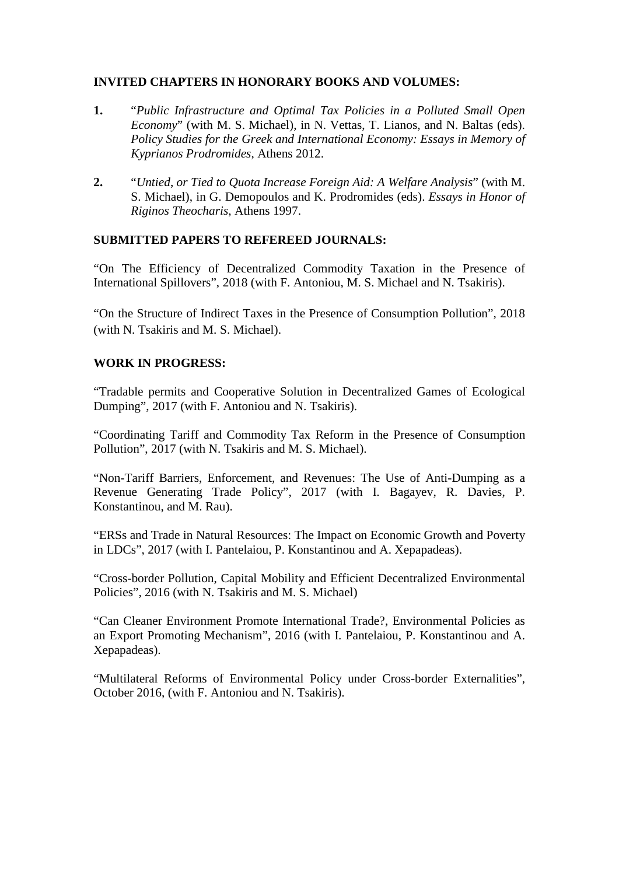# **INVITED CHAPTERS IN HONORARY BOOKS AND VOLUMES:**

- **1.** "*Public Infrastructure and Optimal Tax Policies in a Polluted Small Open Economy*" (with M. S. Michael), in N. Vettas, T. Lianos, and N. Baltas (eds). *Policy Studies for the Greek and International Economy: Essays in Memory of Kyprianos Prodromides*, Athens 2012.
- **2.** "*Untied*, *or Tied to Quota Increase Foreign Aid: A Welfare Analysis*" (with M. S. Michael), in G. Demopoulos and K. Prodromides (eds). *Essays in Honor of Riginos Theocharis*, Athens 1997.

# **SUBMITTED PAPERS TO REFEREED JOURNALS:**

"On The Efficiency of Decentralized Commodity Taxation in the Presence of International Spillovers", 2018 (with F. Antoniou, M. S. Michael and N. Tsakiris).

"On the Structure of Indirect Taxes in the Presence of Consumption Pollution", 2018 (with N. Tsakiris and M. S. Michael).

# **WORK IN PROGRESS:**

"Tradable permits and Cooperative Solution in Decentralized Games of Ecological Dumping", 2017 (with F. Antoniou and N. Tsakiris).

"Coordinating Tariff and Commodity Tax Reform in the Presence of Consumption Pollution", 2017 (with N. Tsakiris and M. S. Michael).

"Non-Tariff Barriers, Enforcement, and Revenues: The Use of Anti-Dumping as a Revenue Generating Trade Policy", 2017 (with I. Bagayev, R. Davies, P. Konstantinou, and M. Rau).

"ERSs and Trade in Natural Resources: The Impact on Economic Growth and Poverty in LDCs", 2017 (with I. Pantelaiou, P. Konstantinou and A. Xepapadeas).

"Cross-border Pollution, Capital Mobility and Efficient Decentralized Environmental Policies", 2016 (with N. Tsakiris and M. S. Michael)

"Can Cleaner Environment Promote International Trade?, Environmental Policies as an Export Promoting Mechanism", 2016 (with I. Pantelaiou, P. Konstantinou and A. Xepapadeas).

"Multilateral Reforms of Environmental Policy under Cross-border Externalities", October 2016, (with F. Antoniou and N. Tsakiris).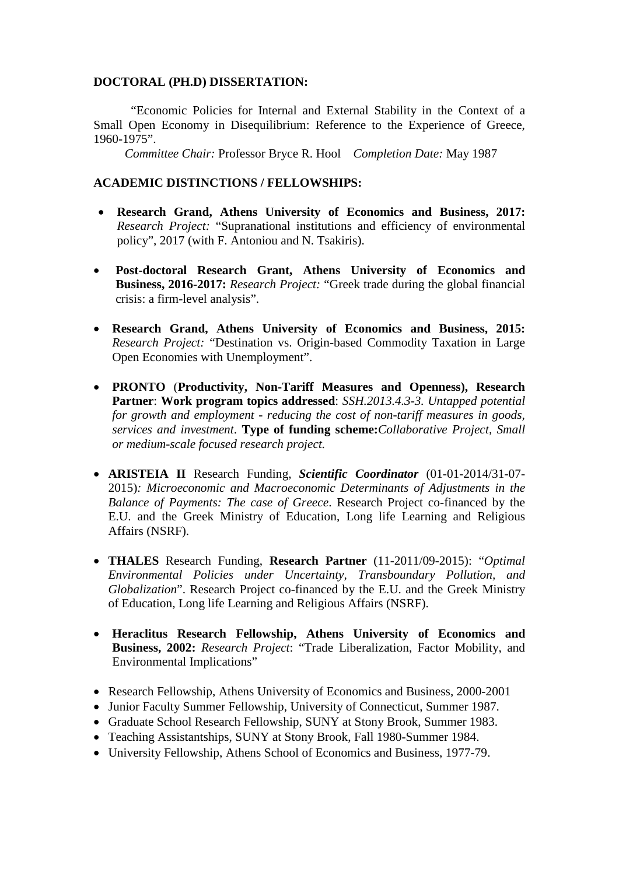#### **DOCTORAL (PH.D) DISSERTATION:**

"Economic Policies for Internal and External Stability in the Context of a Small Open Economy in Disequilibrium: Reference to the Experience of Greece, 1960-1975".

*Committee Chair:* Professor Bryce R. Hool *Completion Date:* May 1987

#### **ACADEMIC DISTINCTIONS / FELLOWSHIPS:**

- **Research Grand, Athens University of Economics and Business, 2017:** *Research Project:* "Supranational institutions and efficiency of environmental policy", 2017 (with F. Antoniou and N. Tsakiris).
- **Post-doctoral Research Grant, Athens University of Economics and Business, 2016-2017:** *Research Project:* "Greek trade during the global financial crisis: a firm-level analysis".
- **Research Grand, Athens University of Economics and Business, 2015:** *Research Project:* "Destination vs. Origin-based Commodity Taxation in Large Open Economies with Unemployment".
- **PRONTO** (**Productivity, Non-Tariff Measures and Openness), Research Partner**: **Work program topics addressed**: *SSH.2013.4.3-3. Untapped potential for growth and employment - reducing the cost of non-tariff measures in goods, services and investment*. **Type of funding scheme:***Collaborative Project, Small or medium-scale focused research project.*
- **ARISTEIA II** Research Funding, *Scientific Coordinator* (01-01-2014/31-07- 2015)*: Microeconomic and Macroeconomic Determinants of Adjustments in the Balance of Payments: The case of Greece*. Research Project co-financed by the E.U. and the Greek Ministry of Education, Long life Learning and Religious Affairs (NSRF).
- **THALES** Research Funding, **Research Partner** (11-2011/09-2015): "*Optimal Environmental Policies under Uncertainty, Transboundary Pollution, and Globalization*". Research Project co-financed by the E.U. and the Greek Ministry of Education, Long life Learning and Religious Affairs (NSRF).
- **Heraclitus Research Fellowship, Athens University of Economics and Business, 2002:** *Research Project*: "Trade Liberalization, Factor Mobility, and Environmental Implications"
- Research Fellowship, Athens University of Economics and Business, 2000-2001
- Junior Faculty Summer Fellowship, University of Connecticut, Summer 1987.
- Graduate School Research Fellowship, SUNY at Stony Brook, Summer 1983.
- Teaching Assistantships, SUNY at Stony Brook, Fall 1980-Summer 1984.
- University Fellowship, Athens School of Economics and Business, 1977-79.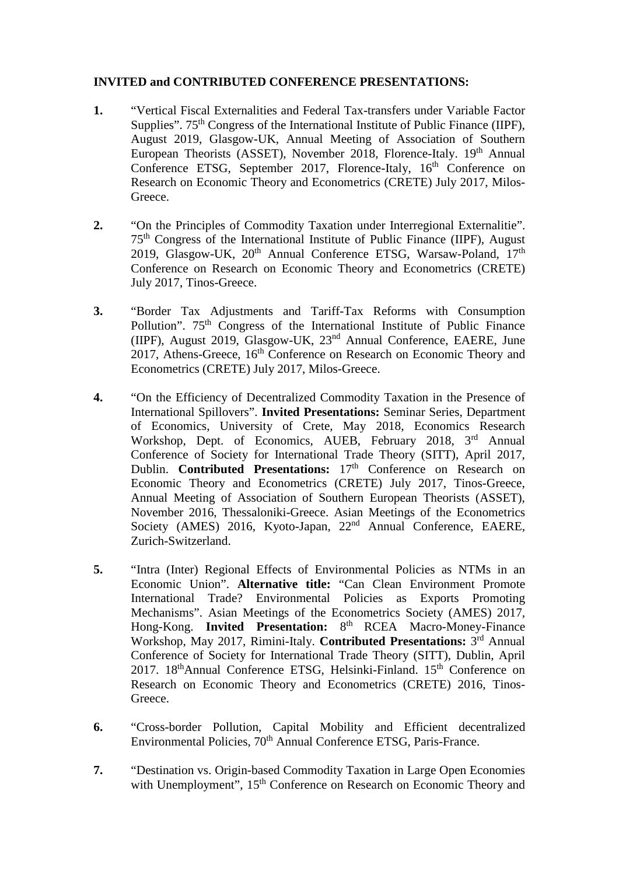# **INVITED and CONTRIBUTED CONFERENCE PRESENTATIONS:**

- **1.** "Vertical Fiscal Externalities and Federal Tax-transfers under Variable Factor Supplies". 75<sup>th</sup> Congress of the International Institute of Public Finance (IIPF). August 2019, Glasgow-UK, Annual Meeting of Association of Southern European Theorists (ASSET), November 2018, Florence-Italy. 19<sup>th</sup> Annual Conference ETSG, September 2017, Florence-Italy, 16<sup>th</sup> Conference on Research on Economic Theory and Econometrics (CRETE) July 2017, Milos-Greece.
- **2.** "On the Principles of Commodity Taxation under Interregional Externalitie". 75th Congress of the International Institute of Public Finance (IIPF), August 2019, Glasgow-UK, 20<sup>th</sup> Annual Conference ETSG, Warsaw-Poland, 17<sup>th</sup> Conference on Research on Economic Theory and Econometrics (CRETE) July 2017, Tinos-Greece.
- **3.** "Border Tax Adjustments and Tariff-Tax Reforms with Consumption Pollution". 75<sup>th</sup> Congress of the International Institute of Public Finance (IIPF), August 2019, Glasgow-UK, 23nd Annual Conference, EAERE, June 2017, Athens-Greece, 16<sup>th</sup> Conference on Research on Economic Theory and Econometrics (CRETE) July 2017, Milos-Greece.
- **4.** "On the Efficiency of Decentralized Commodity Taxation in the Presence of International Spillovers". **Invited Presentations:** Seminar Series, Department of Economics, University of Crete, May 2018, Economics Research Workshop, Dept. of Economics, AUEB, February 2018, 3<sup>rd</sup> Annual Conference of Society for International Trade Theory (SITT), April 2017, Dublin. **Contributed Presentations:** 17<sup>th</sup> Conference on Research on Economic Theory and Econometrics (CRETE) July 2017, Tinos-Greece, Annual Meeting of Association of Southern European Theorists (ASSET), November 2016, Thessaloniki-Greece. Asian Meetings of the Econometrics Society (AMES) 2016, Kyoto-Japan, 22<sup>nd</sup> Annual Conference, EAERE, Zurich-Switzerland.
- **5.** "Intra (Inter) Regional Effects of Environmental Policies as NTMs in an Economic Union". **Alternative title:** "Can Clean Environment Promote International Trade? Environmental Policies as Exports Promoting Mechanisms". Asian Meetings of the Econometrics Society (AMES) 2017, Hong-Kong. **Invited Presentation:** 8th RCEA Macro-Money-Finance Workshop, May 2017, Rimini-Italy. **Contributed Presentations:** 3rd Annual Conference of Society for International Trade Theory (SITT), Dublin, April 2017. 18<sup>th</sup>Annual Conference ETSG, Helsinki-Finland. 15<sup>th</sup> Conference on Research on Economic Theory and Econometrics (CRETE) 2016, Tinos-Greece.
- **6.** "Cross-border Pollution, Capital Mobility and Efficient decentralized Environmental Policies, 70<sup>th</sup> Annual Conference ETSG, Paris-France.
- **7.** "Destination vs. Origin-based Commodity Taxation in Large Open Economies with Unemployment", 15<sup>th</sup> Conference on Research on Economic Theory and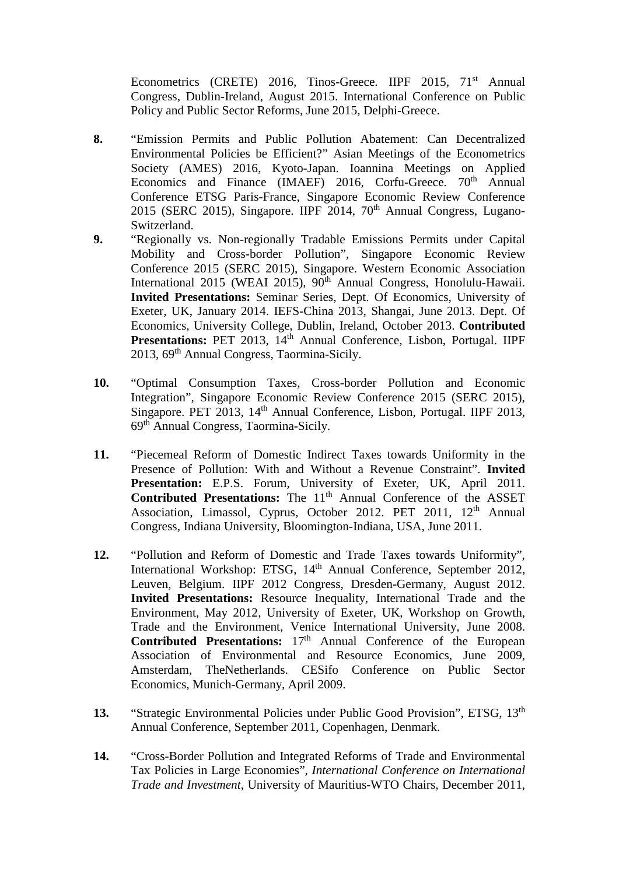Econometrics (CRETE) 2016, Tinos-Greece. IIPF 2015, 71<sup>st</sup> Annual Congress, Dublin-Ireland, August 2015. International Conference on Public Policy and Public Sector Reforms, June 2015, Delphi-Greece.

- **8.** "Emission Permits and Public Pollution Abatement: Can Decentralized Environmental Policies be Efficient?" Asian Meetings of the Econometrics Society (AMES) 2016, Kyoto-Japan. Ioannina Meetings on Applied Economics and Finance (IMAEF) 2016, Corfu-Greece.  $70<sup>th</sup>$  Annual Conference ETSG Paris-France, Singapore Economic Review Conference 2015 (SERC 2015), Singapore. IIPF 2014,  $70<sup>th</sup>$  Annual Congress, Lugano-Switzerland.
- **9.** "Regionally vs. Non-regionally Tradable Emissions Permits under Capital Mobility and Cross-border Pollution", Singapore Economic Review Conference 2015 (SERC 2015), Singapore. Western Economic Association International 2015 (WEAI 2015), 90<sup>th</sup> Annual Congress, Honolulu-Hawaii. **Invited Presentations:** Seminar Series, Dept. Of Economics, University of Exeter, UK, January 2014. IEFS-China 2013, Shangai, June 2013. Dept. Of Economics, University College, Dublin, Ireland, October 2013. **Contributed Presentations:** PET 2013, 14<sup>th</sup> Annual Conference, Lisbon, Portugal. IIPF 2013, 69th Annual Congress, Taormina-Sicily.
- **10.** "Optimal Consumption Taxes, Cross-border Pollution and Economic Integration", Singapore Economic Review Conference 2015 (SERC 2015), Singapore. PET 2013, 14<sup>th</sup> Annual Conference, Lisbon, Portugal. IIPF 2013, 69th Annual Congress, Taormina-Sicily.
- **11.** "Piecemeal Reform of Domestic Indirect Taxes towards Uniformity in the Presence of Pollution: With and Without a Revenue Constraint". **Invited Presentation:** E.P.S. Forum, University of Exeter, UK, April 2011. **Contributed Presentations:** The 11<sup>th</sup> Annual Conference of the ASSET Association, Limassol, Cyprus, October 2012. PET 2011, 12<sup>th</sup> Annual Congress, Indiana University, Bloomington-Indiana, USA, June 2011.
- **12.** "Pollution and Reform of Domestic and Trade Taxes towards Uniformity", International Workshop: ETSG, 14<sup>th</sup> Annual Conference, September 2012, Leuven, Belgium. IIPF 2012 Congress, Dresden-Germany, August 2012. **Invited Presentations:** Resource Inequality, International Trade and the Environment, May 2012, University of Exeter, UK, Workshop on Growth, Trade and the Environment, Venice International University, June 2008. **Contributed Presentations:** 17<sup>th</sup> Annual Conference of the European Association of Environmental and Resource Economics, June 2009, Amsterdam, TheNetherlands. CESifo Conference on Public Sector Economics, Munich-Germany, April 2009.
- 13. "Strategic Environmental Policies under Public Good Provision", ETSG, 13<sup>th</sup> Annual Conference, September 2011, Copenhagen, Denmark.
- **14.** "Cross-Border Pollution and Integrated Reforms of Trade and Environmental Tax Policies in Large Economies", *International Conference on International Trade and Investment*, University of Mauritius-WTO Chairs, December 2011,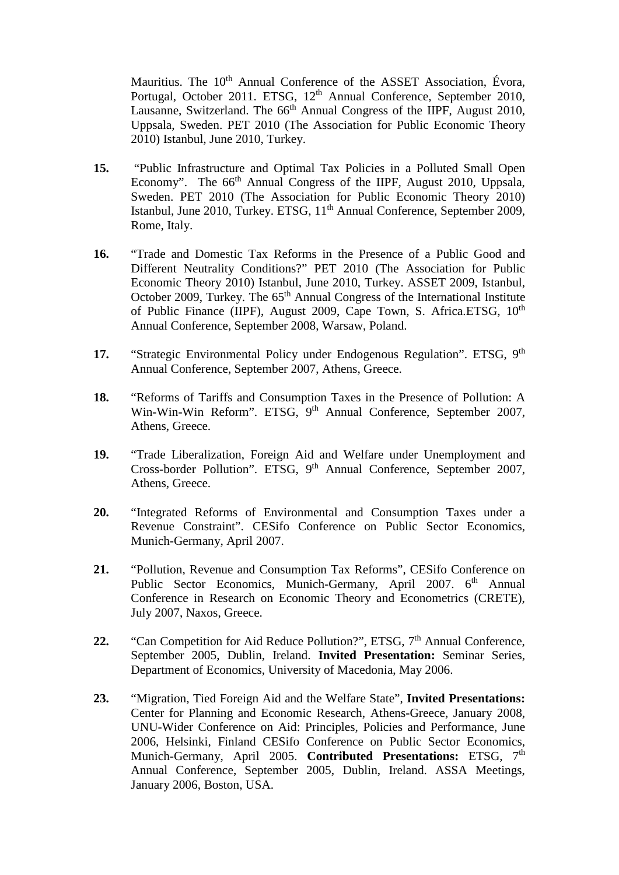Mauritius. The 10<sup>th</sup> Annual Conference of the ASSET Association, Évora, Portugal, October 2011. ETSG, 12<sup>th</sup> Annual Conference, September 2010, Lausanne, Switzerland. The  $66<sup>th</sup>$  Annual Congress of the IIPF, August 2010, Uppsala, Sweden. PET 2010 (The Association for Public Economic Theory 2010) Istanbul, June 2010, Turkey.

- **15.** "Public Infrastructure and Optimal Tax Policies in a Polluted Small Open Economy". The 66<sup>th</sup> Annual Congress of the IIPF, August 2010, Uppsala, Sweden. PET 2010 (The Association for Public Economic Theory 2010) Istanbul, June 2010, Turkey. ETSG, 11<sup>th</sup> Annual Conference, September 2009, Rome, Italy.
- **16.** "Trade and Domestic Tax Reforms in the Presence of a Public Good and Different Neutrality Conditions?" PET 2010 (The Association for Public Economic Theory 2010) Istanbul, June 2010, Turkey. ASSET 2009, Istanbul, October 2009, Turkey. The 65<sup>th</sup> Annual Congress of the International Institute of Public Finance (IIPF), August 2009, Cape Town, S. Africa.ETSG, 10<sup>th</sup> Annual Conference, September 2008, Warsaw, Poland.
- 17. "Strategic Environmental Policy under Endogenous Regulation". ETSG, 9<sup>th</sup> Annual Conference, September 2007, Athens, Greece.
- **18.** "Reforms of Tariffs and Consumption Taxes in the Presence of Pollution: A Win-Win-Win Reform". ETSG, 9<sup>th</sup> Annual Conference, September 2007, Athens, Greece.
- **19.** "Trade Liberalization, Foreign Aid and Welfare under Unemployment and Cross-border Pollution". ETSG, 9<sup>th</sup> Annual Conference, September 2007, Athens, Greece.
- **20.** "Integrated Reforms of Environmental and Consumption Taxes under a Revenue Constraint". CESifo Conference on Public Sector Economics, Munich-Germany, April 2007.
- **21.** "Pollution, Revenue and Consumption Tax Reforms", CESifo Conference on Public Sector Economics, Munich-Germany, April 2007. 6<sup>th</sup> Annual Conference in Research on Economic Theory and Econometrics (CRETE), July 2007, Naxos, Greece.
- 22. "Can Competition for Aid Reduce Pollution?", ETSG, 7<sup>th</sup> Annual Conference, September 2005, Dublin, Ireland. **Invited Presentation:** Seminar Series, Department of Economics, University of Macedonia, May 2006.
- **23.** "Migration, Tied Foreign Aid and the Welfare State", **Invited Presentations:**  Center for Planning and Economic Research, Athens-Greece, January 2008, UNU-Wider Conference on Aid: Principles, Policies and Performance, June 2006, Helsinki, Finland CESifo Conference on Public Sector Economics, Munich-Germany, April 2005. **Contributed Presentations:** ETSG, 7<sup>th</sup> Annual Conference, September 2005, Dublin, Ireland. ASSA Meetings, January 2006, Boston, USA.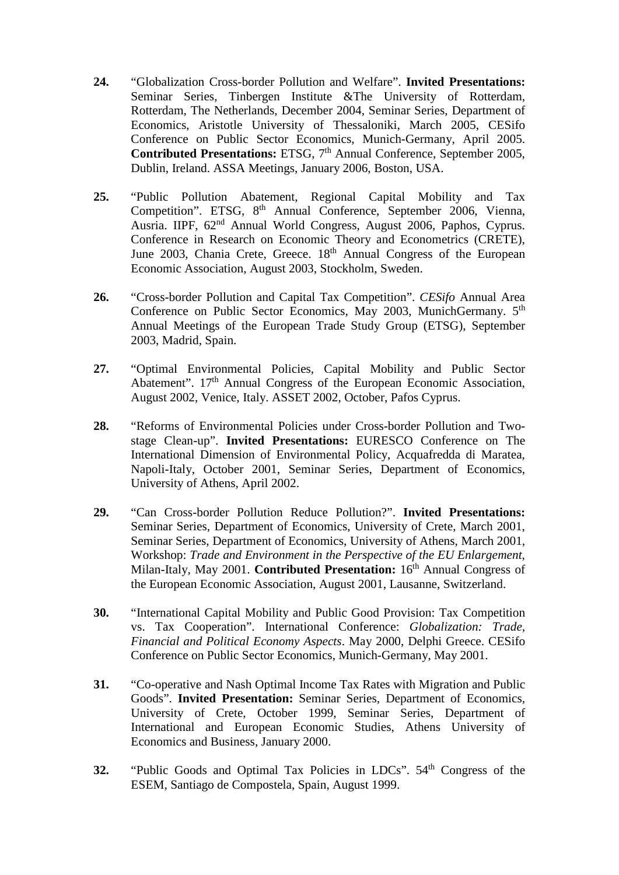- **24.** "Globalization Cross-border Pollution and Welfare". **Invited Presentations:** Seminar Series, Tinbergen Institute &The University of Rotterdam, Rotterdam, The Netherlands, December 2004, Seminar Series, Department of Economics, Aristotle University of Thessaloniki, March 2005, CESifo Conference on Public Sector Economics, Munich-Germany, April 2005. **Contributed Presentations:** ETSG, 7<sup>th</sup> Annual Conference, September 2005, Dublin, Ireland. ASSA Meetings, January 2006, Boston, USA.
- **25.** "Public Pollution Abatement, Regional Capital Mobility and Tax Competition". ETSG, 8<sup>th</sup> Annual Conference, September 2006, Vienna, Ausria. IIPF,  $62<sup>nd</sup>$  Annual World Congress, August 2006, Paphos, Cyprus. Conference in Research on Economic Theory and Econometrics (CRETE), June 2003, Chania Crete, Greece.  $18<sup>th</sup>$  Annual Congress of the European Economic Association, August 2003, Stockholm, Sweden.
- **26.** "Cross-border Pollution and Capital Tax Competition". *CESifo* Annual Area Conference on Public Sector Economics, May 2003, MunichGermany. 5<sup>th</sup> Annual Meetings of the European Trade Study Group (ETSG), September 2003, Madrid, Spain.
- **27.** "Optimal Environmental Policies, Capital Mobility and Public Sector Abatement". 17<sup>th</sup> Annual Congress of the European Economic Association, August 2002, Venice, Italy. ASSET 2002, October, Pafos Cyprus.
- **28.** "Reforms of Environmental Policies under Cross-border Pollution and Twostage Clean-up". **Invited Presentations:** EURESCO Conference on The International Dimension of Environmental Policy, Acquafredda di Maratea, Napoli-Italy, October 2001, Seminar Series, Department of Economics, University of Athens, April 2002.
- **29.** "Can Cross-border Pollution Reduce Pollution?". **Invited Presentations:**  Seminar Series, Department of Economics, University of Crete, March 2001, Seminar Series, Department of Economics, University of Athens, March 2001, Workshop: *Trade and Environment in the Perspective of the EU Enlargement*, Milan-Italy, May 2001. **Contributed Presentation:** 16<sup>th</sup> Annual Congress of the European Economic Association, August 2001, Lausanne, Switzerland.
- **30.** "International Capital Mobility and Public Good Provision: Tax Competition vs. Tax Cooperation". International Conference: *Globalization: Trade, Financial and Political Economy Aspects*. May 2000, Delphi Greece. CESifo Conference on Public Sector Economics, Munich-Germany, May 2001.
- **31.** "Co-operative and Nash Optimal Income Tax Rates with Migration and Public Goods". **Invited Presentation:** Seminar Series, Department of Economics, University of Crete, October 1999, Seminar Series, Department of International and European Economic Studies, Athens University of Economics and Business, January 2000.
- **32.** "Public Goods and Optimal Tax Policies in LDCs". 54<sup>th</sup> Congress of the ESEM, Santiago de Compostela, Spain, August 1999.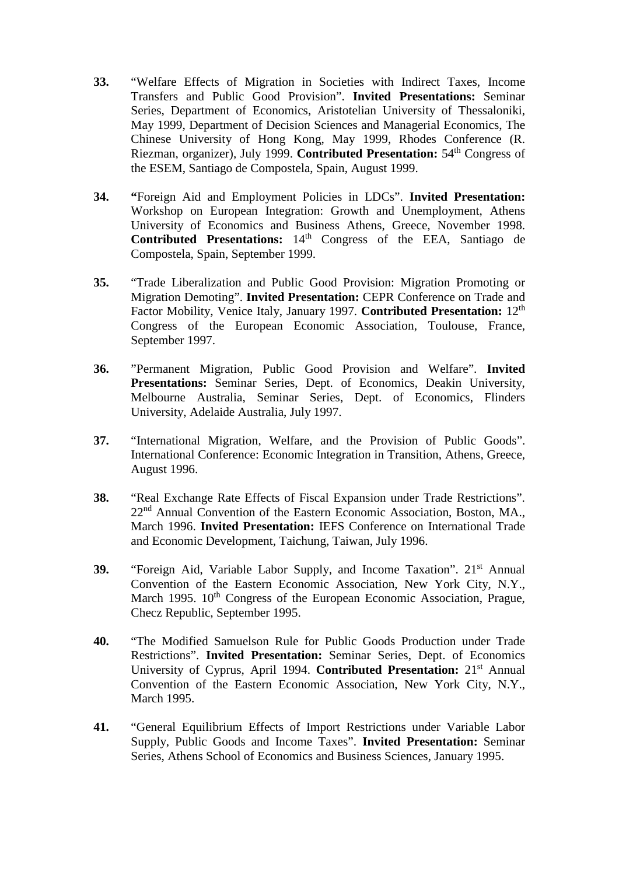- **33.** "Welfare Effects of Migration in Societies with Indirect Taxes, Income Transfers and Public Good Provision". **Invited Presentations:** Seminar Series, Department of Economics, Aristotelian University of Thessaloniki, May 1999, Department of Decision Sciences and Managerial Economics, The Chinese University of Hong Kong, May 1999, Rhodes Conference (R. Riezman, organizer), July 1999. **Contributed Presentation:** 54<sup>th</sup> Congress of the ESEM, Santiago de Compostela, Spain, August 1999.
- **34. "**Foreign Aid and Employment Policies in LDCs". **Invited Presentation:**  Workshop on European Integration: Growth and Unemployment, Athens University of Economics and Business Athens, Greece, November 1998. **Contributed Presentations:** 14<sup>th</sup> Congress of the EEA, Santiago de Compostela, Spain, September 1999.
- **35.** "Trade Liberalization and Public Good Provision: Migration Promoting or Migration Demoting". **Invited Presentation:** CEPR Conference on Trade and Factor Mobility, Venice Italy, January 1997. **Contributed Presentation:** 12th Congress of the European Economic Association, Toulouse, France, September 1997.
- **36.** "Permanent Migration, Public Good Provision and Welfare". **Invited Presentations:** Seminar Series, Dept. of Economics, Deakin University, Melbourne Australia, Seminar Series, Dept. of Economics, Flinders University, Adelaide Australia, July 1997.
- **37.** "International Migration, Welfare, and the Provision of Public Goods". International Conference: Economic Integration in Transition, Athens, Greece, August 1996.
- **38.** "Real Exchange Rate Effects of Fiscal Expansion under Trade Restrictions". 22<sup>nd</sup> Annual Convention of the Eastern Economic Association, Boston, MA., March 1996. **Invited Presentation:** IEFS Conference on International Trade and Economic Development, Taichung, Taiwan, July 1996.
- **39.** "Foreign Aid, Variable Labor Supply, and Income Taxation". 21<sup>st</sup> Annual Convention of the Eastern Economic Association, New York City, N.Y., March 1995. 10<sup>th</sup> Congress of the European Economic Association, Prague, Checz Republic, September 1995.
- **40.** "The Modified Samuelson Rule for Public Goods Production under Trade Restrictions". **Invited Presentation:** Seminar Series, Dept. of Economics University of Cyprus, April 1994. **Contributed Presentation:** 21st Annual Convention of the Eastern Economic Association, New York City, N.Y., March 1995.
- **41.** "General Equilibrium Effects of Import Restrictions under Variable Labor Supply, Public Goods and Income Taxes". **Invited Presentation:** Seminar Series, Athens School of Economics and Business Sciences, January 1995.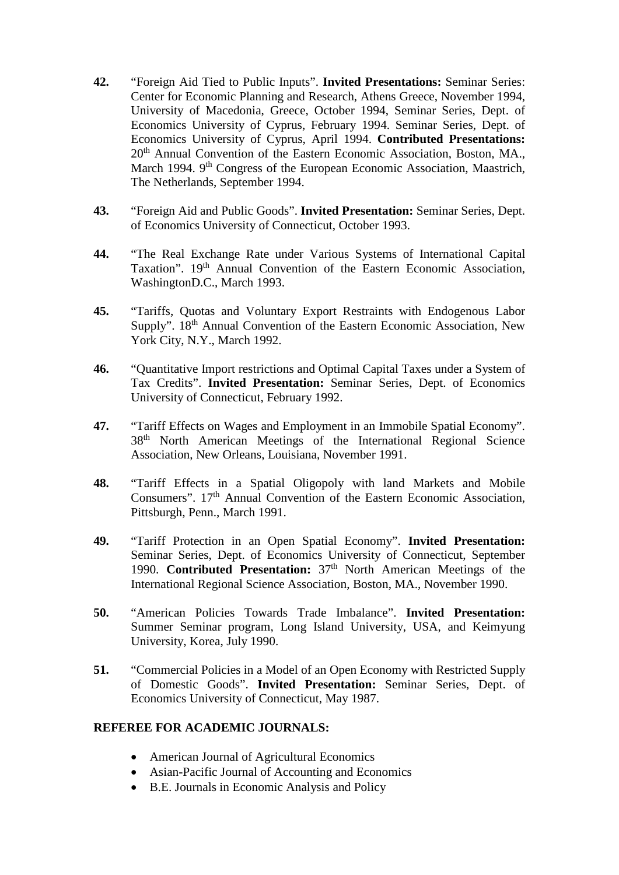- **42.** "Foreign Aid Tied to Public Inputs". **Invited Presentations:** Seminar Series: Center for Economic Planning and Research, Athens Greece, November 1994, University of Macedonia, Greece, October 1994, Seminar Series, Dept. of Economics University of Cyprus, February 1994. Seminar Series, Dept. of Economics University of Cyprus, April 1994. **Contributed Presentations:**  20<sup>th</sup> Annual Convention of the Eastern Economic Association, Boston, MA., March 1994. 9<sup>th</sup> Congress of the European Economic Association, Maastrich, The Netherlands, September 1994.
- **43.** "Foreign Aid and Public Goods". **Invited Presentation:** Seminar Series, Dept. of Economics University of Connecticut, October 1993.
- **44.** "The Real Exchange Rate under Various Systems of International Capital Taxation". 19<sup>th</sup> Annual Convention of the Eastern Economic Association, WashingtonD.C., March 1993.
- **45.** "Tariffs, Quotas and Voluntary Export Restraints with Endogenous Labor Supply". 18<sup>th</sup> Annual Convention of the Eastern Economic Association, New York City, N.Y., March 1992.
- **46.** "Quantitative Import restrictions and Optimal Capital Taxes under a System of Tax Credits". **Invited Presentation:** Seminar Series, Dept. of Economics University of Connecticut, February 1992.
- **47.** "Tariff Effects on Wages and Employment in an Immobile Spatial Economy". 38th North American Meetings of the International Regional Science Association, New Orleans, Louisiana, November 1991.
- **48.** "Tariff Effects in a Spatial Oligopoly with land Markets and Mobile Consumers". 17<sup>th</sup> Annual Convention of the Eastern Economic Association, Pittsburgh, Penn., March 1991.
- **49.** "Tariff Protection in an Open Spatial Economy". **Invited Presentation:**  Seminar Series, Dept. of Economics University of Connecticut, September 1990. **Contributed Presentation:** 37<sup>th</sup> North American Meetings of the International Regional Science Association, Boston, MA., November 1990.
- **50.** "American Policies Towards Trade Imbalance". **Invited Presentation:**  Summer Seminar program, Long Island University, USA, and Keimyung University, Korea, July 1990.
- **51.** "Commercial Policies in a Model of an Open Economy with Restricted Supply of Domestic Goods". **Invited Presentation:** Seminar Series, Dept. of Economics University of Connecticut, May 1987.

# **REFEREE FOR ACADEMIC JOURNALS:**

- American Journal of Agricultural Economics
- Asian-Pacific Journal of Accounting and Economics
- B.E. Journals in Economic Analysis and Policy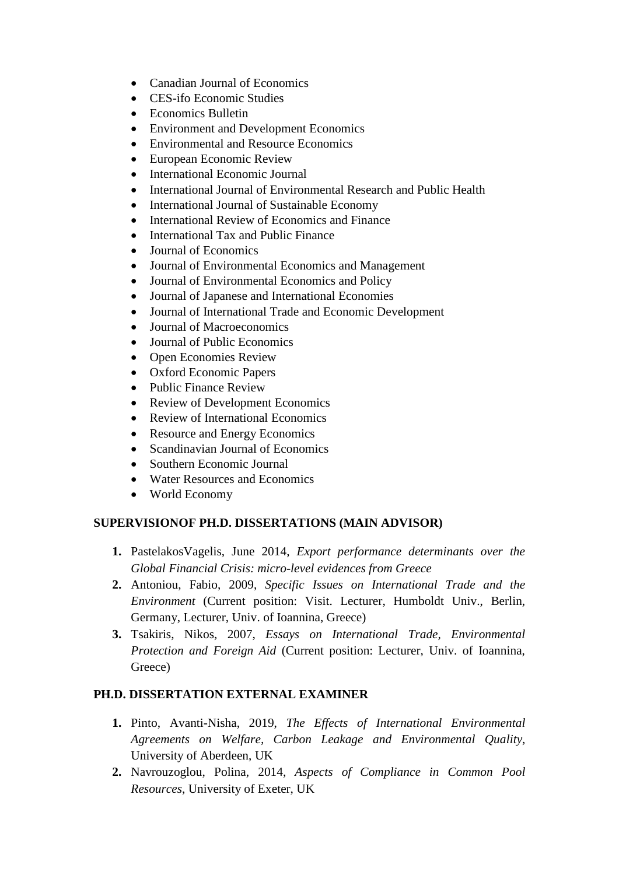- Canadian Journal of Economics
- CES-ifo Economic Studies
- Economics Bulletin
- Environment and Development Economics
- Environmental and Resource Economics
- European Economic Review
- International Economic Journal
- International Journal of Environmental Research and Public Health
- International Journal of Sustainable Economy
- International Review of Economics and Finance
- International Tax and Public Finance
- Journal of Economics
- Journal of Environmental Economics and Management
- Journal of Environmental Economics and Policy
- Journal of Japanese and International Economies
- Journal of International Trade and Economic Development
- Journal of Macroeconomics
- Journal of Public Economics
- Open Economies Review
- Oxford Economic Papers
- Public Finance Review
- Review of Development Economics
- Review of International Economics
- Resource and Energy Economics
- Scandinavian Journal of Economics
- Southern Economic Journal
- Water Resources and Economics
- World Economy

# **SUPERVISIONOF PH.D. DISSERTATIONS (MAIN ADVISOR)**

- **1.** PastelakosVagelis, June 2014, *Export performance determinants over the Global Financial Crisis: micro-level evidences from Greece*
- **2.** Antoniou, Fabio, 2009, *Specific Issues on International Trade and the Environment* (Current position: Visit. Lecturer, Humboldt Univ., Berlin, Germany, Lecturer, Univ. of Ioannina, Greece)
- **3.** Tsakiris, Nikos, 2007, *Essays on International Trade, Environmental Protection and Foreign Aid* (Current position: Lecturer, Univ. of Ioannina, Greece)

# **PH.D. DISSERTATION EXTERNAL EXAMINER**

- **1.** Pinto, Avanti-Nisha, 2019, *The Effects of International Environmental Agreements on Welfare, Carbon Leakage and Environmental Quality*, University of Aberdeen, UK
- **2.** Navrouzoglou, Polina, 2014, *Aspects of Compliance in Common Pool Resources*, University of Exeter, UK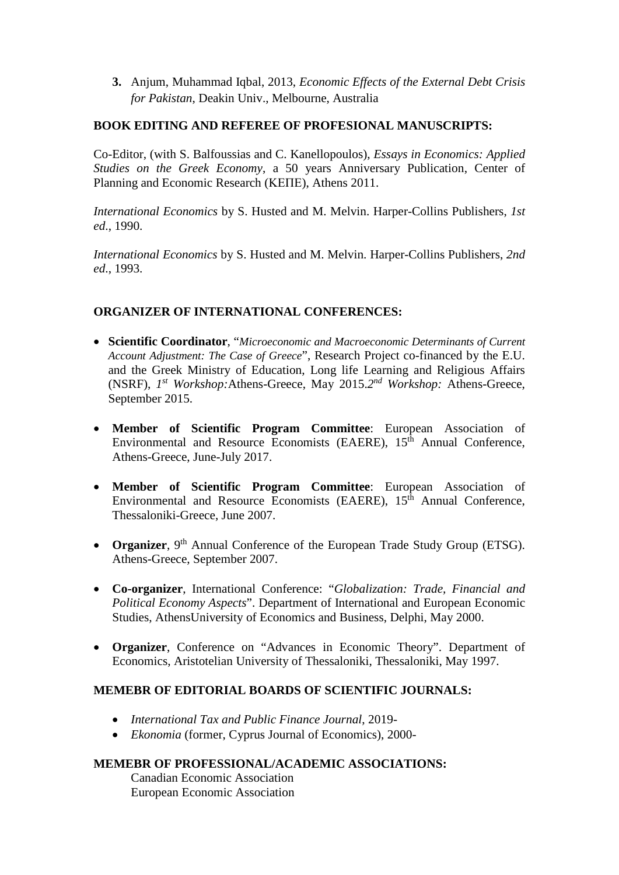**3.** Anjum, Muhammad Iqbal, 2013, *Economic Effects of the External Debt Crisis for Pakistan*, Deakin Univ., Melbourne, Australia

# **BOOK EDITING AND REFEREE OF PROFESIONAL MANUSCRIPTS:**

Co-Editor, (with S. Balfoussias and C. Kanellopoulos), *Essays in Economics: Applied Studies on the Greek Economy*, a 50 years Anniversary Publication, Center of Planning and Economic Research (ΚΕΠΕ), Athens 2011.

*International Economics* by S. Husted and M. Melvin. Harper-Collins Publishers, *1st ed*., 1990.

*International Economics* by S. Husted and M. Melvin. Harper-Collins Publishers, *2nd ed*., 1993.

# **ORGANIZER OF INTERNATIONAL CONFERENCES:**

- **Scientific Coordinator**, "*Microeconomic and Macroeconomic Determinants of Current Account Adjustment: The Case of Greece*", Research Project co-financed by the E.U. and the Greek Ministry of Education, Long life Learning and Religious Affairs (NSRF), *1st Workshop:*Athens-Greece, May 2015.*2nd Workshop:* Athens-Greece, September 2015.
- **Member of Scientific Program Committee**: European Association of Environmental and Resource Economists (EAERE),  $15<sup>th</sup>$  Annual Conference, Athens-Greece, June-July 2017.
- **Member of Scientific Program Committee**: European Association of Environmental and Resource Economists (EAERE),  $15<sup>th</sup>$  Annual Conference, Thessaloniki-Greece, June 2007.
- **Organizer**, 9<sup>th</sup> Annual Conference of the European Trade Study Group (ETSG). Athens-Greece, September 2007.
- **Co-organizer**, International Conference: "*Globalization: Trade, Financial and Political Economy Aspects*". Department of International and European Economic Studies, AthensUniversity of Economics and Business, Delphi, May 2000.
- **Organizer**, Conference on "Advances in Economic Theory". Department of Economics, Aristotelian University of Thessaloniki, Thessaloniki, May 1997.

#### **MEMEBR OF EDITORIAL BOARDS OF SCIENTIFIC JOURNALS:**

- *International Tax and Public Finance Journal*, 2019-
- *Ekonomia* (former, Cyprus Journal of Economics), 2000-

#### **MEMEBR OF PROFESSIONAL/ACADEMIC ASSOCIATIONS:**

Canadian Economic Association European Economic Association